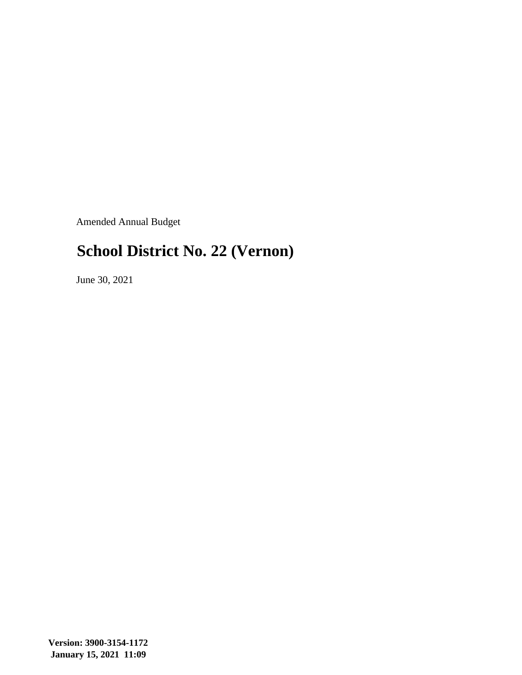Amended Annual Budget

## **School District No. 22 (Vernon)**

June 30, 2021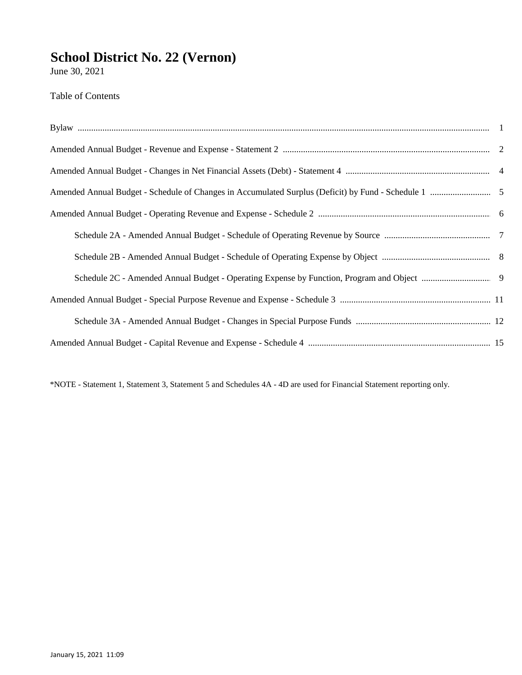June 30, 2021

Table of Contents

\*NOTE - Statement 1, Statement 3, Statement 5 and Schedules 4A - 4D are used for Financial Statement reporting only.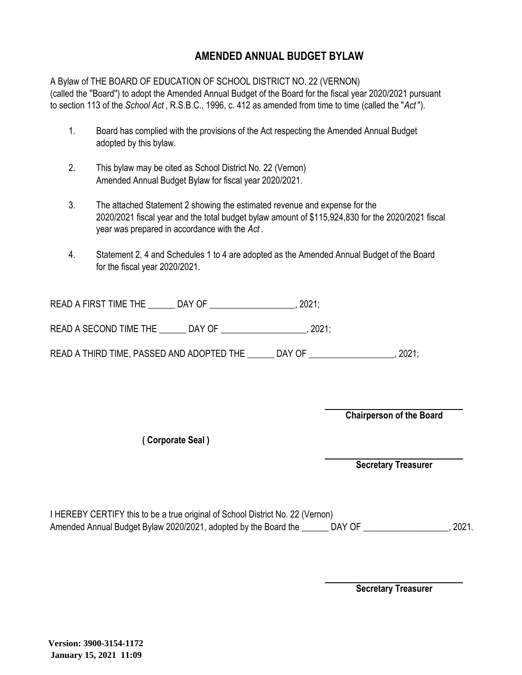#### **AMENDED ANNUAL BUDGET BYLAW**

A Bylaw of THE BOARD OF EDUCATION OF SCHOOL DISTRICT NO. 22 (VERNON) (called the ''Board'') to adopt the Amended Annual Budget of the Board for the fiscal year 2020/2021 pursuant to section 113 of the *School Act* , R.S.B.C., 1996, c. 412 as amended from time to time (called the "*Act* ").

- 1. Board has complied with the provisions of the Act respecting the Amended Annual Budget adopted by this bylaw.
- 2. This bylaw may be cited as School District No. 22 (Vernon) Amended Annual Budget Bylaw for fiscal year 2020/2021.
- 3. The attached Statement 2 showing the estimated revenue and expense for the 2020/2021 fiscal year and the total budget bylaw amount of \$115,924,830 for the 2020/2021 fiscal year was prepared in accordance with the *Act* .
- 4. Statement 2, 4 and Schedules 1 to 4 are adopted as the Amended Annual Budget of the Board for the fiscal year 2020/2021.

| <b>READ A FIRST TIME THE</b> |  |  |
|------------------------------|--|--|
|------------------------------|--|--|

READ A SECOND TIME THE \_\_\_\_\_\_ DAY OF \_\_\_\_\_\_\_\_\_\_\_\_\_\_\_\_\_\_\_, 2021;

READ A THIRD TIME, PASSED AND ADOPTED THE \_\_\_\_\_\_ DAY OF \_\_\_\_\_\_\_\_\_\_\_\_\_\_\_\_\_\_, 2021;

**Chairperson of the Board**

**( Corporate Seal )**

**Secretary Treasurer**

I HEREBY CERTIFY this to be a true original of School District No. 22 (Vernon) Amended Annual Budget Bylaw 2020/2021, adopted by the Board the \_\_\_\_\_\_ DAY OF \_\_\_\_\_\_\_\_\_\_\_\_\_\_\_\_\_\_, 2021.

**Secretary Treasurer**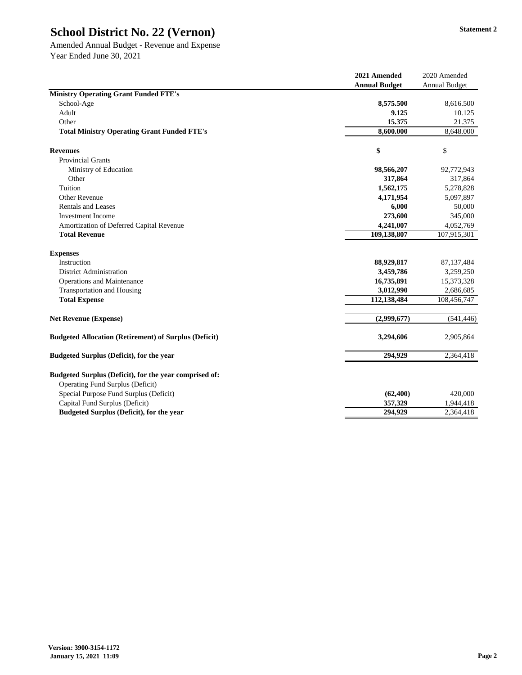Amended Annual Budget - Revenue and Expense Year Ended June 30, 2021

|                                                                                                   | 2021 Amended         | 2020 Amended         |
|---------------------------------------------------------------------------------------------------|----------------------|----------------------|
|                                                                                                   | <b>Annual Budget</b> | <b>Annual Budget</b> |
| <b>Ministry Operating Grant Funded FTE's</b>                                                      |                      |                      |
| School-Age                                                                                        | 8,575.500<br>9.125   | 8,616.500            |
| Adult                                                                                             |                      | 10.125               |
| Other<br><b>Total Ministry Operating Grant Funded FTE's</b>                                       | 15.375<br>8,600.000  | 21.375               |
|                                                                                                   |                      | 8,648.000            |
| <b>Revenues</b>                                                                                   | \$                   | \$                   |
| <b>Provincial Grants</b>                                                                          |                      |                      |
| Ministry of Education                                                                             | 98,566,207           | 92,772,943           |
| Other                                                                                             | 317,864              | 317,864              |
| Tuition                                                                                           | 1,562,175            | 5,278,828            |
| <b>Other Revenue</b>                                                                              | 4,171,954            | 5,097,897            |
| <b>Rentals and Leases</b>                                                                         | 6,000                | 50,000               |
| <b>Investment Income</b>                                                                          | 273,600              | 345,000              |
| Amortization of Deferred Capital Revenue                                                          | 4,241,007            | 4,052,769            |
| <b>Total Revenue</b>                                                                              | 109,138,807          | 107,915,301          |
| <b>Expenses</b>                                                                                   |                      |                      |
| Instruction                                                                                       | 88,929,817           | 87, 137, 484         |
| <b>District Administration</b>                                                                    | 3,459,786            | 3,259,250            |
| <b>Operations and Maintenance</b>                                                                 | 16,735,891           | 15,373,328           |
| <b>Transportation and Housing</b>                                                                 | 3,012,990            | 2,686,685            |
| <b>Total Expense</b>                                                                              | 112,138,484          | 108,456,747          |
| <b>Net Revenue (Expense)</b>                                                                      | (2,999,677)          | (541, 446)           |
| <b>Budgeted Allocation (Retirement) of Surplus (Deficit)</b>                                      | 3,294,606            | 2,905,864            |
| <b>Budgeted Surplus (Deficit), for the year</b>                                                   | 294,929              | 2,364,418            |
| Budgeted Surplus (Deficit), for the year comprised of:<br><b>Operating Fund Surplus (Deficit)</b> |                      |                      |
| Special Purpose Fund Surplus (Deficit)                                                            | (62, 400)            | 420,000              |
| Capital Fund Surplus (Deficit)                                                                    | 357,329              | 1,944,418            |
| <b>Budgeted Surplus (Deficit), for the year</b>                                                   | 294,929              | 2,364,418            |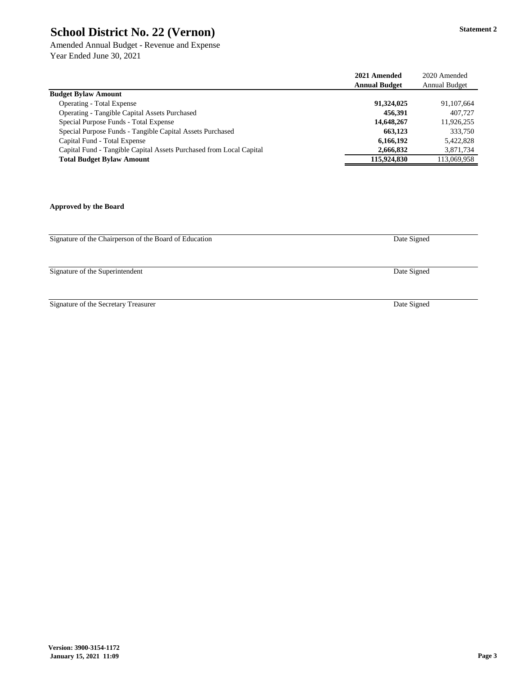Amended Annual Budget - Revenue and Expense Year Ended June 30, 2021

|                                                                     | 2021 Amended         | 2020 Amended         |
|---------------------------------------------------------------------|----------------------|----------------------|
|                                                                     | <b>Annual Budget</b> | <b>Annual Budget</b> |
| <b>Budget Bylaw Amount</b>                                          |                      |                      |
| <b>Operating - Total Expense</b>                                    | 91,324,025           | 91,107,664           |
| <b>Operating - Tangible Capital Assets Purchased</b>                | 456,391              | 407,727              |
| Special Purpose Funds - Total Expense                               | 14,648,267           | 11,926,255           |
| Special Purpose Funds - Tangible Capital Assets Purchased           | 663,123              | 333,750              |
| Capital Fund - Total Expense                                        | 6,166,192            | 5,422,828            |
| Capital Fund - Tangible Capital Assets Purchased from Local Capital | 2,666,832            | 3,871,734            |
| <b>Total Budget Bylaw Amount</b>                                    | 115,924,830          | 113,069,958          |

**Approved by the Board**

Signature of the Chairperson of the Board of Education

Signature of the Superintendent

Signature of the Secretary Treasurer

Date Signed

Date Signed

Date Signed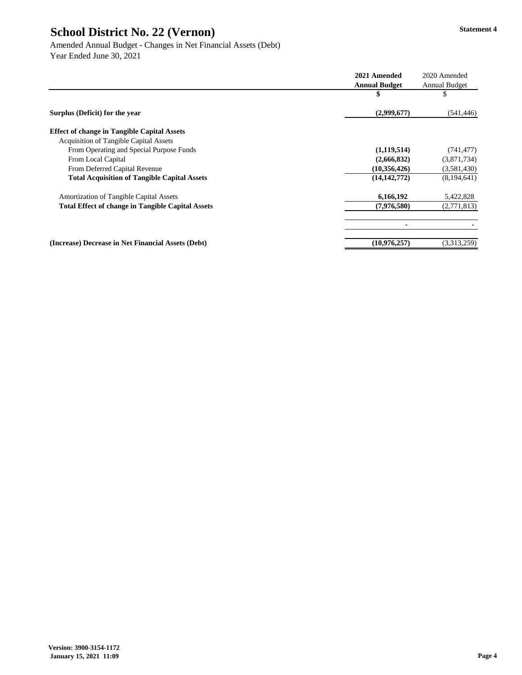|                                                          | 2021 Amended         | 2020 Amended         |
|----------------------------------------------------------|----------------------|----------------------|
|                                                          | <b>Annual Budget</b> | <b>Annual Budget</b> |
|                                                          | P                    | P                    |
| Surplus (Deficit) for the year                           | (2,999,677)          | (541, 446)           |
| <b>Effect of change in Tangible Capital Assets</b>       |                      |                      |
| <b>Acquisition of Tangible Capital Assets</b>            |                      |                      |
| From Operating and Special Purpose Funds                 | (1,119,514)          | (741, 477)           |
| From Local Capital                                       | (2,666,832)          | (3,871,734)          |
| From Deferred Capital Revenue                            | (10,356,426)         | (3,581,430)          |
| <b>Total Acquisition of Tangible Capital Assets</b>      | (14, 142, 772)       | (8,194,641)          |
| <b>Amortization of Tangible Capital Assets</b>           | 6,166,192            | 5,422,828            |
| <b>Total Effect of change in Tangible Capital Assets</b> | (7,976,580)          | (2,771,813)          |
|                                                          |                      |                      |
| (Increase) Decrease in Net Financial Assets (Debt)       | (10,976,257)         | (3,313,259)          |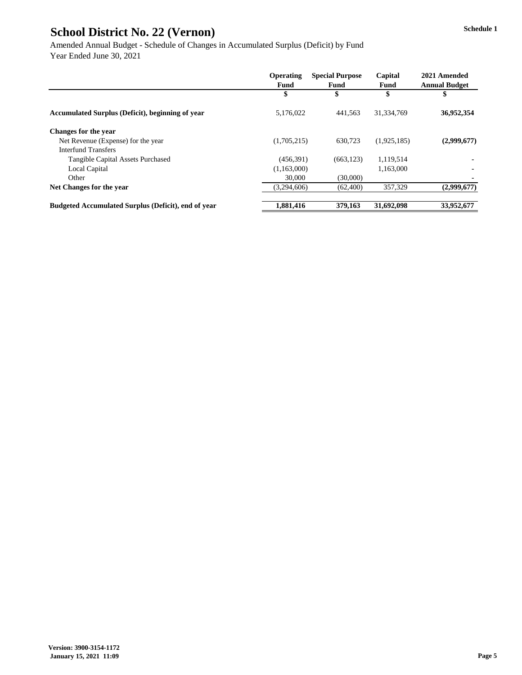Amended Annual Budget - Schedule of Changes in Accumulated Surplus (Deficit) by Fund Year Ended June 30, 2021

|                                                            | <b>Operating</b><br><b>Fund</b> | <b>Special Purpose</b><br><b>Fund</b> | Capital<br><b>Fund</b> | 2021 Amended<br><b>Annual Budget</b> |
|------------------------------------------------------------|---------------------------------|---------------------------------------|------------------------|--------------------------------------|
|                                                            | \$                              |                                       | \$                     | \$                                   |
| <b>Accumulated Surplus (Deficit), beginning of year</b>    | 5,176,022                       | 441,563                               | 31,334,769             | 36,952,354                           |
| <b>Changes for the year</b>                                |                                 |                                       |                        |                                      |
| Net Revenue (Expense) for the year                         | (1,705,215)                     | 630,723                               | (1,925,185)            | (2,999,677)                          |
| <b>Interfund Transfers</b>                                 |                                 |                                       |                        |                                      |
| <b>Tangible Capital Assets Purchased</b>                   | (456,391)                       | (663, 123)                            | 1,119,514              |                                      |
| Local Capital                                              | (1,163,000)                     |                                       | 1,163,000              |                                      |
| Other                                                      | 30,000                          | (30,000)                              |                        |                                      |
| Net Changes for the year                                   | (3,294,606)                     | (62, 400)                             | 357,329                | (2,999,677)                          |
| <b>Budgeted Accumulated Surplus (Deficit), end of year</b> | 1,881,416                       | 379,163                               | 31,692,098             | 33,952,677                           |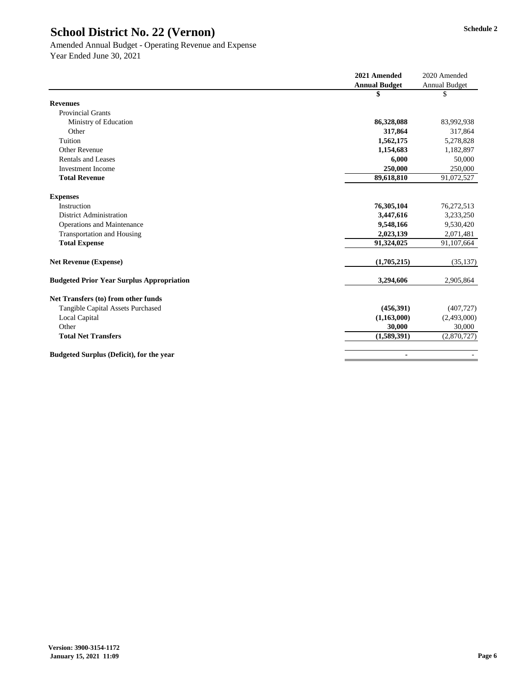# Amended Annual Budget - Operating Revenue and Expense

|                                                  | 2021 Amended         | 2020 Amended         |
|--------------------------------------------------|----------------------|----------------------|
|                                                  | <b>Annual Budget</b> | <b>Annual Budget</b> |
|                                                  | \$                   | $\mathcal{S}$        |
| <b>Revenues</b>                                  |                      |                      |
| <b>Provincial Grants</b>                         |                      |                      |
| Ministry of Education                            | 86,328,088           | 83,992,938           |
| Other                                            | 317,864              | 317,864              |
| Tuition                                          | 1,562,175            | 5,278,828            |
| <b>Other Revenue</b>                             | 1,154,683            | 1,182,897            |
| <b>Rentals and Leases</b>                        | 6,000                | 50,000               |
| <b>Investment Income</b>                         | 250,000              | 250,000              |
| <b>Total Revenue</b>                             | 89,618,810           | 91,072,527           |
| <b>Expenses</b>                                  |                      |                      |
| Instruction                                      | 76,305,104           | 76,272,513           |
| <b>District Administration</b>                   | 3,447,616            | 3,233,250            |
| <b>Operations and Maintenance</b>                | 9,548,166            | 9,530,420            |
| <b>Transportation and Housing</b>                | 2,023,139            | 2,071,481            |
| <b>Total Expense</b>                             | 91,324,025           | 91,107,664           |
| <b>Net Revenue (Expense)</b>                     | (1,705,215)          | (35, 137)            |
| <b>Budgeted Prior Year Surplus Appropriation</b> | 3,294,606            | 2,905,864            |
| Net Transfers (to) from other funds              |                      |                      |
| <b>Tangible Capital Assets Purchased</b>         | (456,391)            | (407, 727)           |
| Local Capital                                    | (1,163,000)          | (2,493,000)          |
| Other                                            | 30,000               | 30,000               |
| <b>Total Net Transfers</b>                       | (1,589,391)          | (2,870,727)          |
| <b>Budgeted Surplus (Deficit), for the year</b>  | $\blacksquare$       |                      |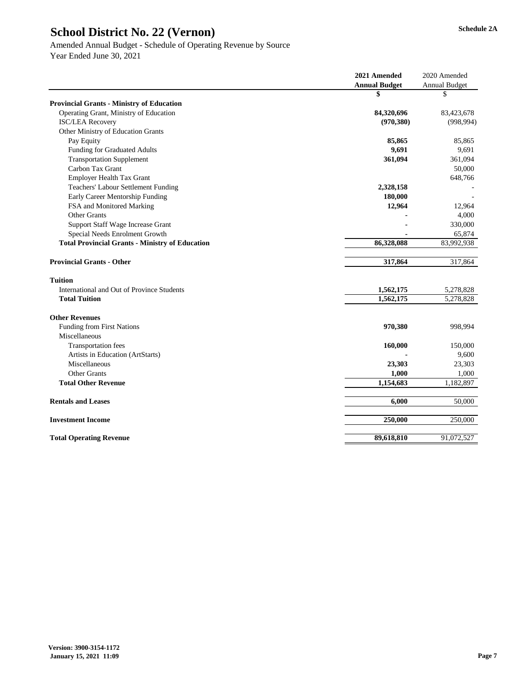|                                                        | 2021 Amended         | 2020 Amended         |
|--------------------------------------------------------|----------------------|----------------------|
|                                                        | <b>Annual Budget</b> | <b>Annual Budget</b> |
|                                                        | \$                   | \$                   |
| <b>Provincial Grants - Ministry of Education</b>       |                      |                      |
| Operating Grant, Ministry of Education                 | 84,320,696           | 83,423,678           |
| <b>ISC/LEA Recovery</b>                                | (970, 380)           | (998, 994)           |
| Other Ministry of Education Grants                     |                      |                      |
| Pay Equity                                             | 85,865               | 85,865               |
| <b>Funding for Graduated Adults</b>                    | 9,691                | 9,691                |
| <b>Transportation Supplement</b>                       | 361,094              | 361,094              |
| Carbon Tax Grant                                       |                      | 50,000               |
| <b>Employer Health Tax Grant</b>                       |                      | 648,766              |
| <b>Teachers' Labour Settlement Funding</b>             | 2,328,158            |                      |
| <b>Early Career Mentorship Funding</b>                 | 180,000              |                      |
| FSA and Monitored Marking                              | 12,964               | 12,964               |
| <b>Other Grants</b>                                    |                      | 4,000                |
| <b>Support Staff Wage Increase Grant</b>               |                      | 330,000              |
| Special Needs Enrolment Growth                         |                      | 65,874               |
| <b>Total Provincial Grants - Ministry of Education</b> | 86,328,088           | 83,992,938           |
|                                                        |                      |                      |
| <b>Provincial Grants - Other</b>                       | 317,864              | 317,864              |
| <b>Tuition</b>                                         |                      |                      |
| International and Out of Province Students             | 1,562,175            | 5,278,828            |
| <b>Total Tuition</b>                                   | 1,562,175            | 5,278,828            |
| <b>Other Revenues</b>                                  |                      |                      |
| Funding from First Nations                             | 970,380              | 998,994              |
| Miscellaneous                                          |                      |                      |
| <b>Transportation fees</b>                             | 160,000              | 150,000              |
| Artists in Education (ArtStarts)                       |                      | 9,600                |
| Miscellaneous                                          | 23,303               | 23,303               |
| <b>Other Grants</b>                                    | 1,000                | 1,000                |
| <b>Total Other Revenue</b>                             | 1,154,683            | 1,182,897            |
| <b>Rentals and Leases</b>                              | 6,000                | 50,000               |
| <b>Investment Income</b>                               | 250,000              | 250,000              |
| <b>Total Operating Revenue</b>                         | 89,618,810           | 91,072,527           |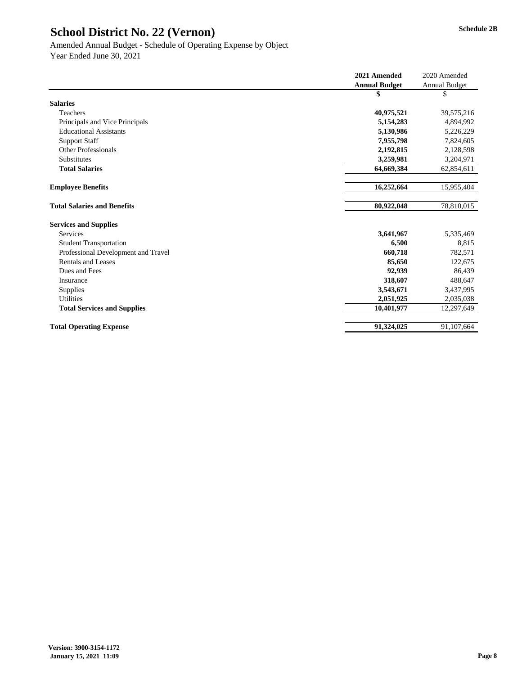|                                     | 2021 Amended         | 2020 Amended         |
|-------------------------------------|----------------------|----------------------|
|                                     | <b>Annual Budget</b> | <b>Annual Budget</b> |
|                                     | \$                   | \$                   |
| <b>Salaries</b>                     |                      |                      |
| Teachers                            | 40,975,521           | 39,575,216           |
| Principals and Vice Principals      | 5,154,283            | 4,894,992            |
| <b>Educational Assistants</b>       | 5,130,986            | 5,226,229            |
| <b>Support Staff</b>                | 7,955,798            | 7,824,605            |
| <b>Other Professionals</b>          | 2,192,815            | 2,128,598            |
| Substitutes                         | 3,259,981            | 3,204,971            |
| <b>Total Salaries</b>               | 64,669,384           | 62,854,611           |
| <b>Employee Benefits</b>            | 16,252,664           | 15,955,404           |
| <b>Total Salaries and Benefits</b>  | 80,922,048           | 78,810,015           |
| <b>Services and Supplies</b>        |                      |                      |
| <b>Services</b>                     | 3,641,967            | 5,335,469            |
| <b>Student Transportation</b>       | 6,500                | 8,815                |
| Professional Development and Travel | 660,718              | 782,571              |
| <b>Rentals and Leases</b>           | 85,650               | 122,675              |
| Dues and Fees                       | 92,939               | 86,439               |
| Insurance                           | 318,607              | 488,647              |
| <b>Supplies</b>                     | 3,543,671            | 3,437,995            |
| <b>Utilities</b>                    | 2,051,925            | 2,035,038            |
| <b>Total Services and Supplies</b>  | 10,401,977           | 12,297,649           |
| <b>Total Operating Expense</b>      | 91,324,025           | 91,107,664           |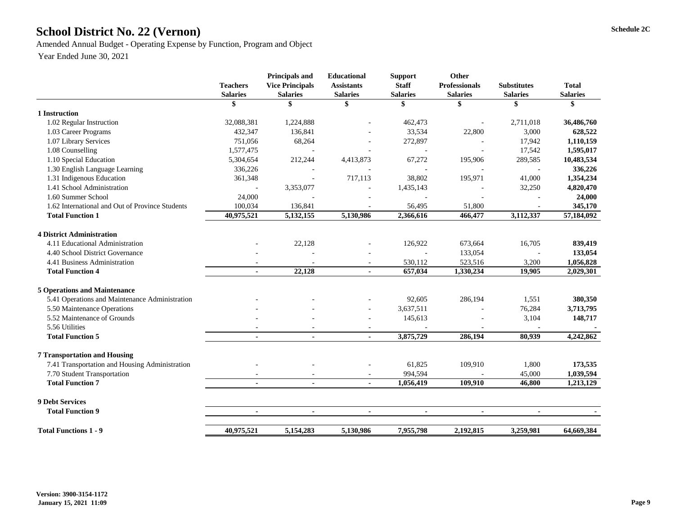# School District No. 22 (Vernon) Schedule 2C

Amended Annual Budget - Operating Expense by Function, Program and Object

| <b>Teachers</b><br><b>Salaries</b> | <b>Principals and</b><br><b>Vice Principals</b><br><b>Salaries</b> | <b>Educational</b><br><b>Assistants</b><br><b>Salaries</b> | <b>Support</b><br><b>Staff</b><br><b>Salaries</b> | <b>Professionals</b><br><b>Salaries</b>                                   | <b>Substitutes</b><br><b>Salaries</b>                               | <b>Total</b><br><b>Salaries</b>                                |
|------------------------------------|--------------------------------------------------------------------|------------------------------------------------------------|---------------------------------------------------|---------------------------------------------------------------------------|---------------------------------------------------------------------|----------------------------------------------------------------|
|                                    | \$                                                                 | \$                                                         | \$                                                | \$                                                                        | \$                                                                  | \$                                                             |
|                                    |                                                                    |                                                            |                                                   |                                                                           |                                                                     |                                                                |
| 32,088,381                         | 1,224,888                                                          |                                                            | 462,473                                           |                                                                           | 2,711,018                                                           | 36,486,760                                                     |
| 432,347                            | 136,841                                                            |                                                            | 33,534                                            | 22,800                                                                    | 3,000                                                               | 628,522                                                        |
| 751,056                            | 68,264                                                             |                                                            | 272,897                                           |                                                                           | 17,942                                                              | 1,110,159                                                      |
| 1,577,475                          |                                                                    |                                                            |                                                   |                                                                           | 17,542                                                              | 1,595,017                                                      |
| 5,304,654                          | 212,244                                                            | 4,413,873                                                  | 67,272                                            | 195,906                                                                   | 289,585                                                             | 10,483,534                                                     |
| 336,226                            |                                                                    |                                                            |                                                   |                                                                           |                                                                     | 336,226                                                        |
| 361,348                            |                                                                    | 717,113                                                    | 38,802                                            | 195,971                                                                   | 41,000                                                              | 1,354,234                                                      |
|                                    | 3,353,077                                                          |                                                            | 1,435,143                                         |                                                                           | 32,250                                                              | 4,820,470                                                      |
| 24,000                             |                                                                    |                                                            |                                                   |                                                                           |                                                                     | 24,000                                                         |
| 100,034                            | 136,841                                                            |                                                            | 56,495                                            | 51,800                                                                    |                                                                     | 345,170                                                        |
| 40,975,521                         | 5, 132, 155                                                        | 5,130,986                                                  | 2,366,616                                         | 466,477                                                                   | 3,112,337                                                           | 57,184,092                                                     |
|                                    |                                                                    |                                                            |                                                   |                                                                           |                                                                     |                                                                |
|                                    |                                                                    |                                                            |                                                   |                                                                           |                                                                     | 839,419                                                        |
|                                    |                                                                    |                                                            |                                                   |                                                                           |                                                                     | 133,054                                                        |
|                                    |                                                                    | $\blacksquare$                                             |                                                   |                                                                           |                                                                     | 1,056,828                                                      |
| $\blacksquare$                     | 22,128                                                             | $\sim$                                                     | 657,034                                           | 1,330,234                                                                 | 19,905                                                              | 2,029,301                                                      |
|                                    |                                                                    |                                                            |                                                   |                                                                           |                                                                     |                                                                |
|                                    |                                                                    |                                                            |                                                   |                                                                           |                                                                     | 380,350                                                        |
|                                    |                                                                    |                                                            |                                                   |                                                                           |                                                                     | 3,713,795                                                      |
|                                    |                                                                    |                                                            |                                                   |                                                                           |                                                                     | 148,717                                                        |
|                                    |                                                                    |                                                            |                                                   |                                                                           |                                                                     |                                                                |
| $\blacksquare$                     | $\blacksquare$                                                     | $\blacksquare$                                             | 3,875,729                                         | 286,194                                                                   | 80,939                                                              | 4,242,862                                                      |
|                                    |                                                                    |                                                            |                                                   |                                                                           |                                                                     |                                                                |
|                                    |                                                                    |                                                            |                                                   |                                                                           |                                                                     | 173,535                                                        |
|                                    |                                                                    |                                                            |                                                   |                                                                           |                                                                     | 1,039,594                                                      |
| $\blacksquare$                     | $\blacksquare$                                                     | $\blacksquare$                                             | 1,056,419                                         | 109,910                                                                   | 46,800                                                              | 1,213,129                                                      |
|                                    |                                                                    |                                                            |                                                   |                                                                           |                                                                     |                                                                |
| $\blacksquare$                     |                                                                    |                                                            |                                                   |                                                                           |                                                                     |                                                                |
| 40,975,521                         |                                                                    |                                                            | 7,955,798                                         | 2,192,815                                                                 |                                                                     |                                                                |
|                                    |                                                                    | 22,128                                                     | $\blacksquare$<br>5,154,283<br>5,130,986          | 126,922<br>530,112<br>92,605<br>3,637,511<br>145,613<br>61,825<br>994,594 | <b>Other</b><br>673,664<br>133,054<br>523,516<br>286,194<br>109,910 | 16,705<br>3,200<br>1,551<br>76,284<br>3,104<br>1,800<br>45,000 |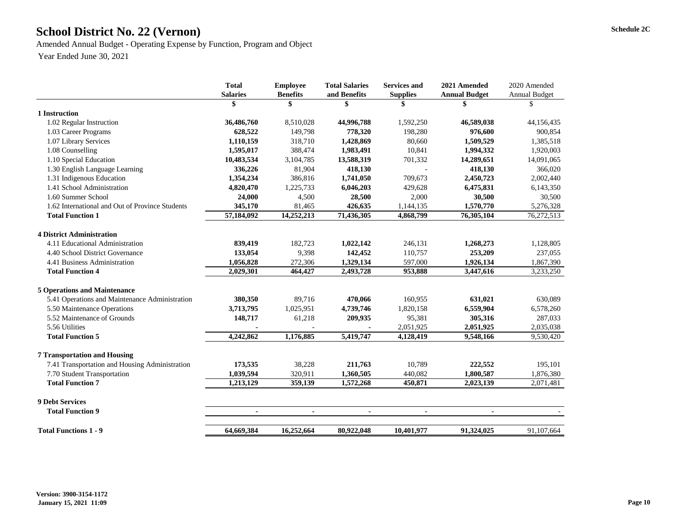# School District No. 22 (Vernon) Schedule 2C

Amended Annual Budget - Operating Expense by Function, Program and Object Year Ended June 30, 2021

| 2020 Amended         |
|----------------------|
| <b>Annual Budget</b> |
| \$                   |
|                      |
| 44,156,435           |
| 900,854              |
| 1,385,518            |
| 1,920,003            |
| 14,091,065           |
| 366,020              |
| 2,002,440            |
| 6,143,350            |
| 30,500               |
| 5,276,328            |
| 76,272,513           |
|                      |
| 1,128,805            |
| 237,055              |
| 1,867,390            |
| 3,233,250            |
|                      |
| 630,089              |
| 6,578,260            |
| 287,033              |
| 2,035,038            |
| 9,530,420            |
|                      |
| 195,101              |
| 1,876,380            |
| 2,071,481            |
|                      |
|                      |
|                      |
| 91,107,664           |
|                      |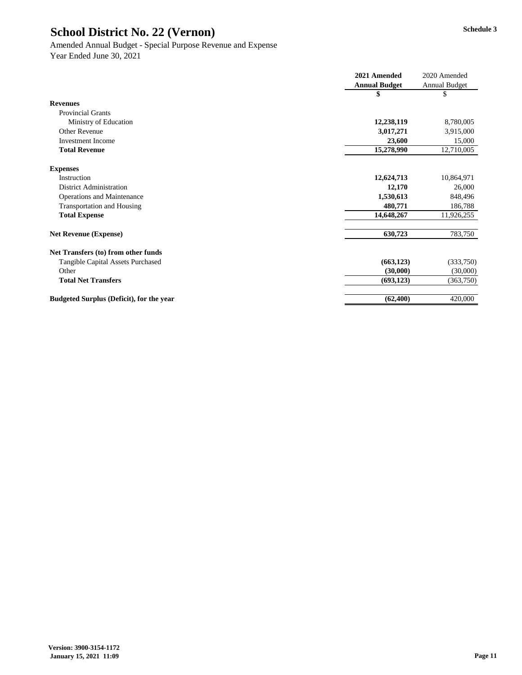#### Amended Annual Budget - Special Purpose Revenue and Expense

|                                                 | 2021 Amended         | 2020 Amended         |
|-------------------------------------------------|----------------------|----------------------|
|                                                 | <b>Annual Budget</b> | <b>Annual Budget</b> |
|                                                 | \$                   | \$                   |
| <b>Revenues</b>                                 |                      |                      |
| <b>Provincial Grants</b>                        |                      |                      |
| Ministry of Education                           | 12,238,119           | 8,780,005            |
| <b>Other Revenue</b>                            | 3,017,271            | 3,915,000            |
| <b>Investment Income</b>                        | 23,600               | 15,000               |
| <b>Total Revenue</b>                            | 15,278,990           | 12,710,005           |
| <b>Expenses</b>                                 |                      |                      |
| Instruction                                     | 12,624,713           | 10,864,971           |
| <b>District Administration</b>                  | 12,170               | 26,000               |
| <b>Operations and Maintenance</b>               | 1,530,613            | 848,496              |
| <b>Transportation and Housing</b>               | 480,771              | 186,788              |
| <b>Total Expense</b>                            | 14,648,267           | 11,926,255           |
| <b>Net Revenue (Expense)</b>                    | 630,723              | 783,750              |
| Net Transfers (to) from other funds             |                      |                      |
| <b>Tangible Capital Assets Purchased</b>        | (663, 123)           | (333,750)            |
| Other                                           | (30,000)             | (30,000)             |
| <b>Total Net Transfers</b>                      | (693, 123)           | (363,750)            |
| <b>Budgeted Surplus (Deficit), for the year</b> | (62, 400)            | 420,000              |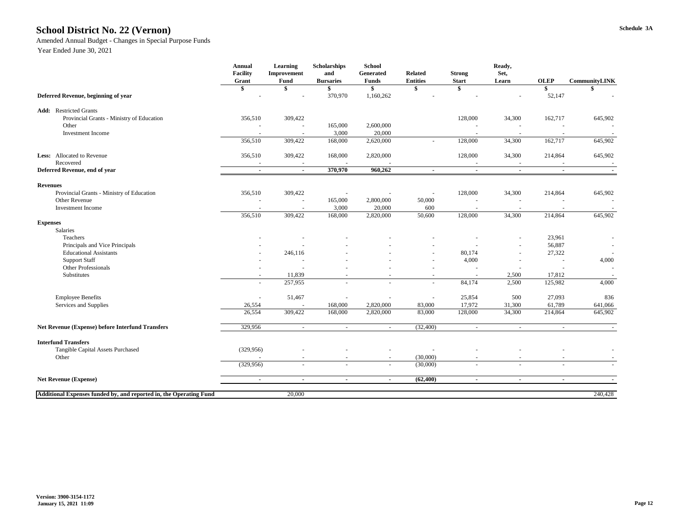# **Schedule 3A School District No. 22 (Vernon)**

Amended Annual Budget - Changes in Special Purpose Funds

|                                                                    | <b>Annual</b><br><b>Facility</b><br>Grant | <b>Learning</b><br><b>Improvement</b><br>Fund | <b>Scholarships</b><br>and<br><b>Bursaries</b> | <b>School</b><br>Generated<br><b>Funds</b> | <b>Related</b><br><b>Entities</b> | <b>Strong</b><br><b>Start</b> | Ready,<br>Set,<br>Learn  | <b>OLEP</b>    | <b>CommunityLINK</b>     |
|--------------------------------------------------------------------|-------------------------------------------|-----------------------------------------------|------------------------------------------------|--------------------------------------------|-----------------------------------|-------------------------------|--------------------------|----------------|--------------------------|
|                                                                    | \$                                        |                                               |                                                | \$                                         |                                   | \$                            |                          |                |                          |
| Deferred Revenue, beginning of year                                |                                           |                                               | 370,970                                        | 1,160,262                                  |                                   |                               |                          | 52,147         |                          |
| <b>Add:</b> Restricted Grants                                      |                                           |                                               |                                                |                                            |                                   |                               |                          |                |                          |
| Provincial Grants - Ministry of Education                          | 356,510                                   | 309,422                                       |                                                |                                            |                                   | 128,000                       | 34,300                   | 162,717        | 645,902                  |
| Other                                                              |                                           |                                               | 165,000                                        | 2,600,000                                  |                                   |                               |                          |                |                          |
| <b>Investment Income</b>                                           |                                           |                                               | 3,000                                          | 20,000                                     |                                   |                               |                          |                |                          |
|                                                                    | 356,510                                   | 309,422                                       | 168,000                                        | 2,620,000                                  |                                   | 128,000                       | 34,300                   | 162,717        | 645,902                  |
| Less: Allocated to Revenue<br>Recovered                            | 356,510                                   | 309,422                                       | 168,000                                        | 2,820,000                                  |                                   | 128,000                       | 34,300                   | 214,864        | 645,902                  |
| Deferred Revenue, end of year                                      | $\sim$                                    | $\sim$                                        | 370,970                                        | 960,262                                    | $\blacksquare$                    | $\blacksquare$                | $\sim$                   | $\blacksquare$ |                          |
| <b>Revenues</b>                                                    |                                           |                                               |                                                |                                            |                                   |                               |                          |                |                          |
| Provincial Grants - Ministry of Education                          | 356,510                                   | 309,422                                       |                                                |                                            |                                   | 128,000                       | 34,300                   | 214,864        | 645,902                  |
| Other Revenue                                                      |                                           |                                               | 165,000                                        | 2,800,000                                  | 50,000                            |                               |                          |                |                          |
| <b>Investment Income</b>                                           |                                           |                                               | 3,000                                          | 20,000                                     | 600                               |                               |                          |                |                          |
|                                                                    | 356,510                                   | 309,422                                       | 168,000                                        | 2,820,000                                  | 50,600                            | 128,000                       | 34,300                   | 214,864        | 645,902                  |
| <b>Expenses</b><br>Salaries                                        |                                           |                                               |                                                |                                            |                                   |                               |                          |                |                          |
| Teachers                                                           |                                           |                                               |                                                |                                            |                                   |                               | $\overline{\phantom{a}}$ | 23,961         |                          |
| Principals and Vice Principals                                     |                                           |                                               |                                                |                                            |                                   |                               |                          | 56,887         | $\overline{\phantom{a}}$ |
| <b>Educational Assistants</b>                                      |                                           | 246,116                                       |                                                |                                            |                                   | 80,174                        | $\overline{\phantom{a}}$ | 27,322         |                          |
| <b>Support Staff</b>                                               |                                           | $\overline{\phantom{a}}$                      |                                                |                                            |                                   | 4,000                         |                          |                | 4,000                    |
| <b>Other Professionals</b>                                         |                                           |                                               |                                                |                                            |                                   |                               |                          |                | $\overline{a}$           |
| Substitutes                                                        |                                           | 11,839                                        |                                                | $\overline{\phantom{a}}$                   |                                   |                               | 2,500                    | 17,812         |                          |
|                                                                    | $\overline{\phantom{a}}$                  | 257,955                                       | $\overline{\phantom{0}}$                       | $\overline{\phantom{a}}$                   | $\overline{\phantom{a}}$          | 84,174                        | 2,500                    | 125,982        | 4,000                    |
| <b>Employee Benefits</b>                                           | $\overline{\phantom{a}}$                  | 51,467                                        |                                                |                                            |                                   | 25,854                        | 500                      | 27,093         | 836                      |
| Services and Supplies                                              | 26,554                                    |                                               | 168,000                                        | 2,820,000                                  | 83,000                            | 17,972                        | 31,300                   | 61,789         | 641,066                  |
|                                                                    | 26,554                                    | 309,422                                       | 168,000                                        | 2,820,000                                  | 83,000                            | 128,000                       | 34,300                   | 214,864        | 645,902                  |
| <b>Net Revenue (Expense) before Interfund Transfers</b>            | 329,956                                   | $\sim$                                        | $\sim$                                         |                                            | (32, 400)                         | $\sim$                        | $\sim$                   | $\sim$         |                          |
| <b>Interfund Transfers</b>                                         |                                           |                                               |                                                |                                            |                                   |                               |                          |                |                          |
| Tangible Capital Assets Purchased                                  | (329, 956)                                |                                               |                                                |                                            |                                   |                               |                          |                |                          |
| Other                                                              |                                           |                                               |                                                |                                            | (30,000)                          |                               |                          |                |                          |
|                                                                    | (329, 956)                                | $\sim$                                        | $\sim$                                         | $\sim$                                     | (30,000)                          | $\sim$                        | $\sim$                   | $\sim$         | $\sim$                   |
| <b>Net Revenue (Expense)</b>                                       | $\sim$                                    | $\sim$                                        | $\sim$                                         | $\sim$                                     | (62, 400)                         | $\sim$                        | $\sim$                   | $\blacksquare$ | $\blacksquare$           |
|                                                                    |                                           |                                               |                                                |                                            |                                   |                               |                          |                |                          |
| Additional Expenses funded by, and reported in, the Operating Fund |                                           | 20,000                                        |                                                |                                            |                                   |                               |                          |                | 240,428                  |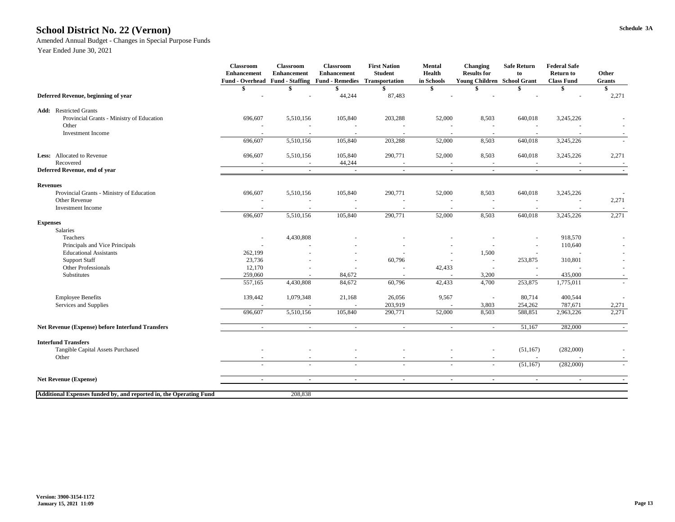#### **Schedule 3A School District No. 22 (Vernon)**

Amended Annual Budget - Changes in Special Purpose Funds

|                                                                    | <b>Classroom</b><br><b>Enhancement</b><br><b>Fund - Overhead</b> | <b>Classroom</b><br><b>Enhancement</b> | <b>Classroom</b><br><b>Enhancement</b><br><b>Fund - Staffing Fund - Remedies</b> | <b>First Nation</b><br><b>Student</b><br><b>Transportation</b> | <b>Mental</b><br><b>Health</b><br>in Schools | <b>Changing</b><br><b>Results for</b><br><b>Young Children School Grant</b> | <b>Safe Return</b><br>to | <b>Federal Safe</b><br><b>Return to</b><br><b>Class Fund</b> | Other<br><b>Grants</b> |
|--------------------------------------------------------------------|------------------------------------------------------------------|----------------------------------------|----------------------------------------------------------------------------------|----------------------------------------------------------------|----------------------------------------------|-----------------------------------------------------------------------------|--------------------------|--------------------------------------------------------------|------------------------|
|                                                                    |                                                                  |                                        |                                                                                  |                                                                |                                              |                                                                             |                          |                                                              |                        |
| Deferred Revenue, beginning of year                                |                                                                  |                                        | 44,244                                                                           | 87,483                                                         |                                              |                                                                             |                          |                                                              | 2,271                  |
| <b>Add:</b> Restricted Grants                                      |                                                                  |                                        |                                                                                  |                                                                |                                              |                                                                             |                          |                                                              |                        |
| Provincial Grants - Ministry of Education                          | 696,607                                                          | 5,510,156                              | 105,840                                                                          | 203,288                                                        | 52,000                                       | 8,503                                                                       | 640,018                  | 3,245,226                                                    |                        |
| Other                                                              |                                                                  |                                        |                                                                                  |                                                                |                                              |                                                                             |                          |                                                              |                        |
| <b>Investment Income</b>                                           |                                                                  |                                        |                                                                                  |                                                                |                                              |                                                                             |                          |                                                              |                        |
|                                                                    | 696,607                                                          | 5,510,156                              | 105,840                                                                          | 203,288                                                        | 52,000                                       | 8,503                                                                       | 640,018                  | 3,245,226                                                    |                        |
| Less: Allocated to Revenue                                         | 696,607                                                          | 5,510,156                              | 105,840                                                                          | 290,771                                                        | 52,000                                       | 8,503                                                                       | 640,018                  | 3,245,226                                                    | 2,271                  |
| Recovered                                                          |                                                                  |                                        | 44,244                                                                           |                                                                |                                              |                                                                             |                          |                                                              |                        |
| Deferred Revenue, end of year                                      | $\sim$                                                           | $\sim$                                 | $\blacksquare$                                                                   | $\sim$                                                         | $\blacksquare$                               | $\sim$                                                                      | $\blacksquare$           |                                                              |                        |
| <b>Revenues</b>                                                    |                                                                  |                                        |                                                                                  |                                                                |                                              |                                                                             |                          |                                                              |                        |
| Provincial Grants - Ministry of Education                          | 696,607                                                          | 5,510,156                              | 105,840                                                                          | 290,771                                                        | 52,000                                       | 8,503                                                                       | 640,018                  | 3,245,226                                                    |                        |
| <b>Other Revenue</b>                                               |                                                                  |                                        |                                                                                  |                                                                |                                              |                                                                             |                          |                                                              | 2,271                  |
| <b>Investment Income</b>                                           |                                                                  |                                        |                                                                                  |                                                                |                                              |                                                                             |                          |                                                              |                        |
|                                                                    | 696,607                                                          | 5,510,156                              | 105,840                                                                          | 290,771                                                        | 52,000                                       | 8,503                                                                       | 640,018                  | 3,245,226                                                    | 2,271                  |
| <b>Expenses</b>                                                    |                                                                  |                                        |                                                                                  |                                                                |                                              |                                                                             |                          |                                                              |                        |
| Salaries                                                           |                                                                  |                                        |                                                                                  |                                                                |                                              |                                                                             |                          |                                                              |                        |
| Teachers                                                           | $\overline{\phantom{a}}$                                         | 4,430,808                              |                                                                                  |                                                                |                                              |                                                                             | $\overline{\phantom{a}}$ | 918,570                                                      | $\sim$                 |
| Principals and Vice Principals                                     |                                                                  |                                        |                                                                                  |                                                                | $\overline{\phantom{a}}$                     |                                                                             |                          | 110,640                                                      |                        |
| <b>Educational Assistants</b>                                      | 262,199                                                          |                                        |                                                                                  |                                                                | $\overline{\phantom{a}}$                     | 1,500                                                                       |                          |                                                              | $\sim$                 |
| <b>Support Staff</b>                                               | 23,736                                                           |                                        |                                                                                  | 60,796                                                         |                                              |                                                                             | 253,875                  | 310,801                                                      |                        |
| Other Professionals                                                | 12,170                                                           |                                        |                                                                                  |                                                                | 42,433                                       |                                                                             |                          |                                                              |                        |
| Substitutes                                                        | 259,060                                                          |                                        | 84,672                                                                           |                                                                |                                              | 3,200                                                                       |                          | 435,000                                                      |                        |
|                                                                    | 557,165                                                          | 4,430,808                              | 84,672                                                                           | 60,796                                                         | 42,433                                       | 4,700                                                                       | 253,875                  | 1,775,011                                                    |                        |
| <b>Employee Benefits</b>                                           | 139,442                                                          | 1,079,348                              | 21,168                                                                           | 26,056                                                         | 9,567                                        | $\overline{\phantom{a}}$                                                    | 80,714                   | 400,544                                                      | $\sim$                 |
| Services and Supplies                                              |                                                                  |                                        |                                                                                  | 203,919                                                        |                                              | 3,803                                                                       | 254,262                  | 787,671                                                      | 2,271                  |
|                                                                    | 696,607                                                          | 5,510,156                              | 105,840                                                                          | 290,771                                                        | 52,000                                       | 8,503                                                                       | 588,851                  | 2,963,226                                                    | 2,271                  |
| <b>Net Revenue (Expense) before Interfund Transfers</b>            |                                                                  |                                        | $\sim$                                                                           | $\overline{\phantom{a}}$                                       | $\overline{\phantom{a}}$                     |                                                                             | 51,167                   | 282,000                                                      |                        |
| <b>Interfund Transfers</b>                                         |                                                                  |                                        |                                                                                  |                                                                |                                              |                                                                             |                          |                                                              |                        |
| Tangible Capital Assets Purchased                                  | $\sim$                                                           |                                        |                                                                                  |                                                                |                                              |                                                                             | (51, 167)                | (282,000)                                                    |                        |
| Other                                                              |                                                                  |                                        |                                                                                  |                                                                |                                              |                                                                             |                          |                                                              |                        |
|                                                                    | $\sim$                                                           | $\overline{\phantom{0}}$               | $\sim$                                                                           | $\overline{\phantom{a}}$                                       | $\sim$                                       | $\sim$                                                                      | (51, 167)                | (282,000)                                                    | $\sim$                 |
| <b>Net Revenue (Expense)</b>                                       | $\blacksquare$                                                   |                                        | $\sim$                                                                           | $\sim$                                                         | $\blacksquare$                               | $\sim$                                                                      | $\sim$                   |                                                              |                        |
|                                                                    |                                                                  |                                        |                                                                                  |                                                                |                                              |                                                                             |                          |                                                              |                        |
| Additional Expenses funded by, and reported in, the Operating Fund |                                                                  | 208,838                                |                                                                                  |                                                                |                                              |                                                                             |                          |                                                              |                        |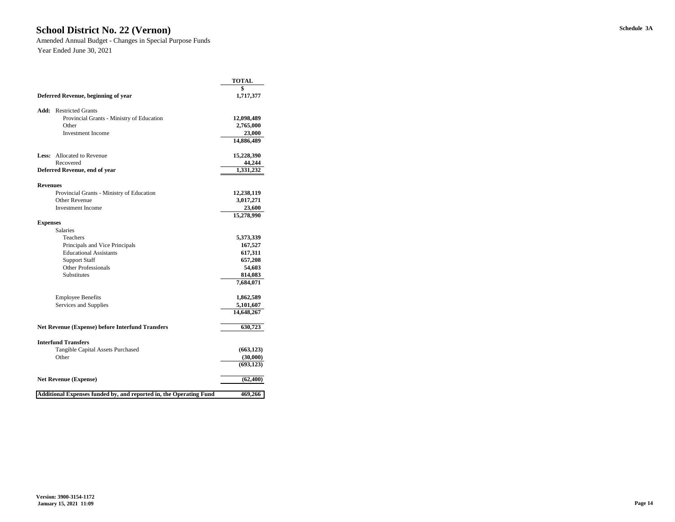# **Schedule 3A School District No. 22 (Vernon)**

Amended Annual Budget - Changes in Special Purpose Funds Year Ended June 30, 2021

|                                     |                                                                    | <b>TOTAL</b> |
|-------------------------------------|--------------------------------------------------------------------|--------------|
|                                     |                                                                    | \$           |
| Deferred Revenue, beginning of year | 1,717,377                                                          |              |
| Add:                                | <b>Restricted Grants</b>                                           |              |
|                                     | Provincial Grants - Ministry of Education                          | 12,098,489   |
|                                     | Other                                                              | 2,765,000    |
|                                     | <b>Investment Income</b>                                           | 23,000       |
|                                     |                                                                    | 14,886,489   |
| Less:                               | <b>Allocated to Revenue</b>                                        | 15,228,390   |
|                                     | Recovered                                                          | 44,244       |
|                                     | Deferred Revenue, end of year                                      | 1,331,232    |
| <b>Revenues</b>                     |                                                                    |              |
|                                     | Provincial Grants - Ministry of Education                          | 12,238,119   |
|                                     | <b>Other Revenue</b>                                               | 3,017,271    |
|                                     | <b>Investment Income</b>                                           | 23,600       |
|                                     |                                                                    | 15,278,990   |
| <b>Expenses</b>                     |                                                                    |              |
|                                     | <b>Salaries</b>                                                    |              |
|                                     | Teachers                                                           | 5,373,339    |
|                                     | Principals and Vice Principals                                     | 167,527      |
|                                     | <b>Educational Assistants</b>                                      | 617,311      |
|                                     | <b>Support Staff</b>                                               | 657,208      |
|                                     | <b>Other Professionals</b>                                         | 54,603       |
|                                     | Substitutes                                                        | 814,083      |
|                                     |                                                                    | 7,684,071    |
|                                     | <b>Employee Benefits</b>                                           | 1,862,589    |
|                                     | Services and Supplies                                              | 5,101,607    |
|                                     |                                                                    | 14,648,267   |
|                                     | <b>Net Revenue (Expense) before Interfund Transfers</b>            | 630,723      |
|                                     | <b>Interfund Transfers</b>                                         |              |
|                                     | <b>Tangible Capital Assets Purchased</b>                           | (663, 123)   |
|                                     | Other                                                              | (30,000)     |
|                                     |                                                                    | (693, 123)   |
|                                     | <b>Net Revenue (Expense)</b>                                       | (62, 400)    |
|                                     | Additional Expenses funded by, and reported in, the Operating Fund | 469,266      |